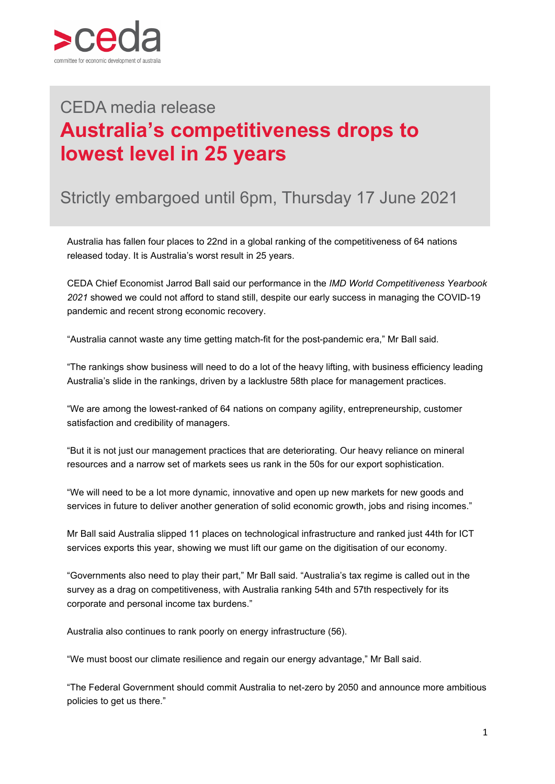

## **Australia's competitiveness drops to** CEDA media release **lowest level in 25 years**

## Strictly embargoed until 6pm, Thursday 17 June 2021

Australia has fallen four places to 22nd in a global ranking of the competitiveness of 64 nations released today. It is Australia's worst result in 25 years.

CEDA Chief Economist Jarrod Ball said our performance in the *IMD World Competitiveness Yearbook 2021* showed we could not afford to stand still, despite our early success in managing the COVID-19 pandemic and recent strong economic recovery.

"Australia cannot waste any time getting match-fit for the post-pandemic era," Mr Ball said.

"The rankings show business will need to do a lot of the heavy lifting, with business efficiency leading Australia's slide in the rankings, driven by a lacklustre 58th place for management practices.

"We are among the lowest-ranked of 64 nations on company agility, entrepreneurship, customer satisfaction and credibility of managers.

"But it is not just our management practices that are deteriorating. Our heavy reliance on mineral resources and a narrow set of markets sees us rank in the 50s for our export sophistication.

"We will need to be a lot more dynamic, innovative and open up new markets for new goods and services in future to deliver another generation of solid economic growth, jobs and rising incomes."

Mr Ball said Australia slipped 11 places on technological infrastructure and ranked just 44th for ICT services exports this year, showing we must lift our game on the digitisation of our economy.

"Governments also need to play their part," Mr Ball said. "Australia's tax regime is called out in the survey as a drag on competitiveness, with Australia ranking 54th and 57th respectively for its corporate and personal income tax burdens."

Australia also continues to rank poorly on energy infrastructure (56).

"We must boost our climate resilience and regain our energy advantage," Mr Ball said.

"The Federal Government should commit Australia to net-zero by 2050 and announce more ambitious policies to get us there."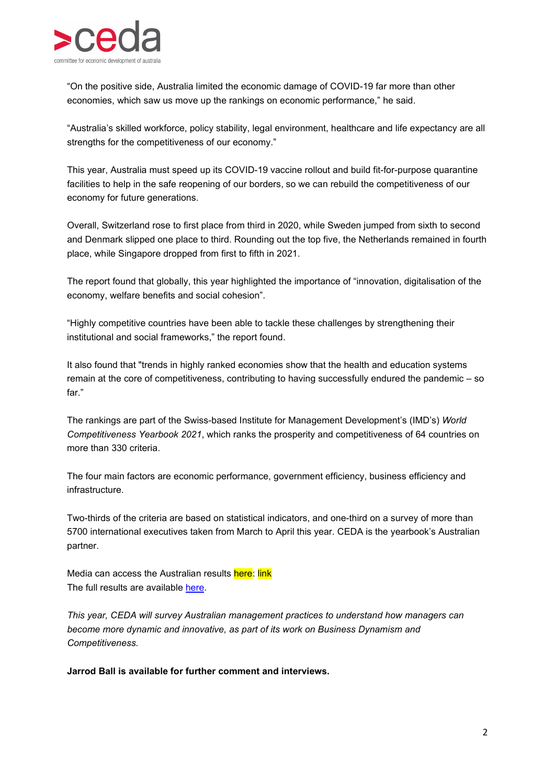

"On the positive side, Australia limited the economic damage of COVID-19 far more than other economies, which saw us move up the rankings on economic performance," he said.

"Australia's skilled workforce, policy stability, legal environment, healthcare and life expectancy are all strengths for the competitiveness of our economy."

This year, Australia must speed up its COVID-19 vaccine rollout and build fit-for-purpose quarantine facilities to help in the safe reopening of our borders, so we can rebuild the competitiveness of our economy for future generations.

Overall, Switzerland rose to first place from third in 2020, while Sweden jumped from sixth to second and Denmark slipped one place to third. Rounding out the top five, the Netherlands remained in fourth place, while Singapore dropped from first to fifth in 2021.

The report found that globally, this year highlighted the importance of "innovation, digitalisation of the economy, welfare benefits and social cohesion".

"Highly competitive countries have been able to tackle these challenges by strengthening their institutional and social frameworks," the report found.

It also found that "trends in highly ranked economies show that the health and education systems remain at the core of competitiveness, contributing to having successfully endured the pandemic – so far."

The rankings are part of the Swiss-based Institute for Management Development's (IMD's) *World Competitiveness Yearbook 2021*, which ranks the prosperity and competitiveness of 64 countries on more than 330 criteria.

The four main factors are economic performance, government efficiency, business efficiency and infrastructure.

Two-thirds of the criteria are based on statistical indicators, and one-third on a survey of more than 5700 international executives taken from March to April this year. CEDA is the yearbook's Australian partner.

Media can access the Australian results here: link The full results are available [here.](https://www.imd.org/wcc-press/home/?access=pressemsCOMwcc)

*This year, CEDA will survey Australian management practices to understand how managers can become more dynamic and innovative, as part of its work on Business Dynamism and Competitiveness.*

**Jarrod Ball is available for further comment and interviews.**